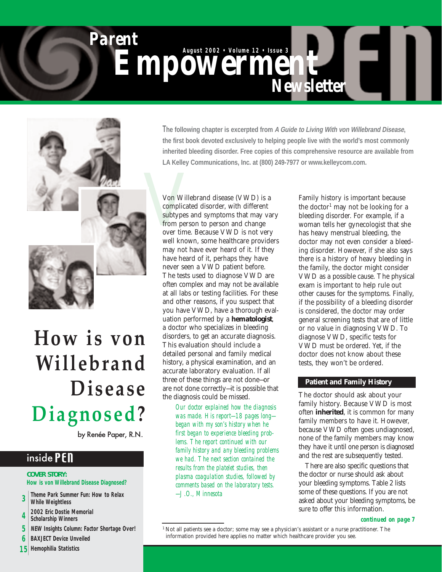*Empower 12 · Volume 12 · Issue 3* 



*Parent*

# **How is von Willebrand Disease Diagnosed?**

by Renée Paper, R.N.

### inside PEN

#### **COVER STORY: How is von Willebrand Disease Diagnosed?**

- **3 Theme Park Summer Fun: How to Relax While Weightless**
- **4 2002 Eric Dostie Memorial Scholarship Winners**
- **5 NEW Insights Column: Factor Shortage Over!**
- **6 BAXJECT Device Unveiled**
- **15 Hemophilia Statistics**

**The following chapter is excerpted from A Guide to Living With von Willebrand Disease, the first book devoted exclusively to helping people live with the world's most commonly inherited bleeding disorder. Free copies of this comprehensive resource are available from LA Kelley Communications, Inc. at (800) 249-7977 or www.kelleycom.com.** 

*Newsletter*

Von Willebrand disease (VWD) is a<br>complicated disorder, with different<br>subtypes and symptoms that may va<br>from person to person and change<br>over time. Because VWD is not very<br>well known, some healthcare provide complicated disorder, with different subtypes and symptoms that may vary from person to person and change over time. Because VWD is not very well known, some healthcare providers may not have ever heard of it. If they have heard of it, perhaps they have never seen a VWD patient before. The tests used to diagnose VWD are often complex and may not be available at all labs or testing facilities. For these and other reasons, if you suspect that you have VWD, have a thorough evaluation performed by a **hematologist**, a doctor who specializes in bleeding disorders, to get an accurate diagnosis. This evaluation should include a detailed personal and family medical history, a physical examination, and an accurate laboratory evaluation. If all three of these things are not done—or are not done correctly—it is possible that the diagnosis could be missed.

*Our doctor explained how the diagnosis was made. His report—18 pages long began with my son's history when he first began to experience bleeding problems. The report continued with our family history and any bleeding problems we had. The next section contained the results from the platelet studies, then plasma coagulation studies, followed by comments based on the laboratory tests. —J.O., Minnesota*

Family history is important because the doctor<sup>1</sup> may not be looking for a bleeding disorder. For example, if a woman tells her gynecologist that she has heavy menstrual bleeding, the doctor may not even consider a bleeding disorder. However, if she also says there is a history of heavy bleeding in the family, the doctor might consider VWD as a possible cause. The physical exam is important to help rule out other causes for the symptoms. Finally, if the possibility of a bleeding disorder is considered, the doctor may order general screening tests that are of little or no value in diagnosing VWD. To diagnose VWD, specific tests for VWD must be ordered. Yet, if the doctor does not know about these tests, they won't be ordered.

#### **Patient and Family History**

The doctor should ask about your family history. Because VWD is most often **inherited**, it is common for many family members to have it. However, because VWD often goes undiagnosed, none of the family members may know they have it until one person is diagnosed and the rest are subsequently tested.

There are also specific questions that the doctor or nurse should ask about your bleeding symptoms. Table 2 lists some of these questions. If you are not asked about your bleeding symptoms, be sure to offer this information.

*continued on page 7* 

<sup>&</sup>lt;sup>1</sup> Not all patients see a doctor; some may see a physician's assistant or a nurse practitioner. The information provided here applies no matter which healthcare provider you see.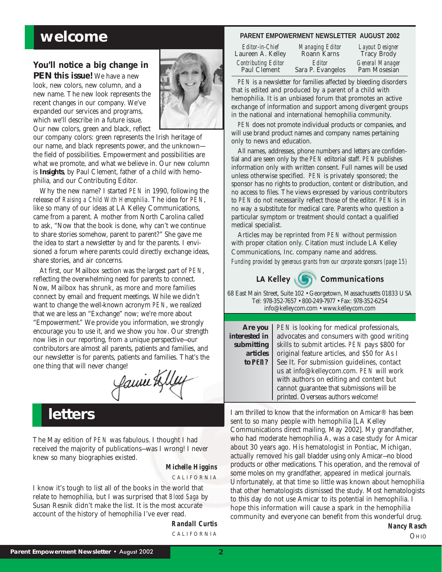## **welcome**

#### **You'll notice a big change in** *PEN* **this issue!** We have a new

look, new colors, new column, and a new name. The new look represents the recent changes in our company. We've expanded our services and programs, which we'll describe in a future issue. Our new colors, green and black, reflect



our company colors: green represents the Irish heritage of our name, and black represents power, and the unknown the field of possibilities. Empowerment and possibilities are what we promote, and what we believe in. Our new column is **Insights**, by Paul Clement, father of a child with hemophilia, and our Contributing Editor.

Why the new name? I started *PEN* in 1990, following the release of *Raising a Child With Hemophilia*. The idea for *PEN*, like so many of our ideas at LA Kelley Communications, came from a parent. A mother from North Carolina called to ask, "Now that the book is done, why can't we continue to share stories somehow, parent to parent?" She gave me the idea to start a newsletter *by* and *for* the parents. I envisioned a forum where parents could directly exchange ideas, share stories, and air concerns.

At first, our Mailbox section was the largest part of *PEN*, reflecting the overwhelming need for parents to connect. Now, Mailbox has shrunk, as more and more families connect by email and frequent meetings. While we didn't want to change the well-known acronym *PEN*, we realized that we are less an "Exchange" now; we're more about "Empowerment." We provide you information, we strongly encourage you to use it, and we show you *how*. Our strength now lies in our reporting, from a unique perspective—our contributors are almost all parents, patients and families, and our newsletter is for parents, patients and families. That's the one thing that will never change!

family

## **letters**

The May edition of *PEN* was fabulous. I thought I had received the majority of publications—was I wrong! I never knew so many biographies existed.

#### *Michelle Higgins* CALIFORNIA

I know it's tough to list all of the books in the world that relate to hemophilia, but I was surprised that *Blood Saga* by Susan Resnik didn't make the list. It is the most accurate account of the history of hemophilia I've ever read.

> *Randall Curtis*  CALIFORNIA

#### **PARENT EMPOWERMENT NEWSLETTER AUGUST 2002**

| Editor-in-Chief<br>Laureen A. Kelley       | Managing Editor<br>Roann Karns | <b>Layout Designer</b><br>Tracy Brody |
|--------------------------------------------|--------------------------------|---------------------------------------|
| <b>Contributing Editor</b><br>Paul Clement | Editor<br>Sara P. Evangelos    | General Manager<br>Pam Mosesian       |

*PEN* is a newsletter for families affected by bleeding disorders that is edited and produced by a parent of a child with hemophilia. It is an unbiased forum that promotes an active exchange of information and support among divergent groups in the national and international hemophilia community.

*PEN* does not promote individual products or companies, and will use brand product names and company names pertaining only to news and education.

All names, addresses, phone numbers and letters are confidential and are seen only by the *PEN* editorial staff. *PEN* publishes information only with written consent. Full names will be used unless otherwise specified. *PEN* is privately sponsored; the sponsor has no rights to production, content or distribution, and no access to files. The views expressed by various contributors to *PEN* do not necessarily reflect those of the editor. *PEN* is in no way a substitute for medical care. Parents who question a particular symptom or treatment should contact a qualified medical specialist.

Articles may be reprinted from *PEN* without permission with proper citation only. Citation must include LA Kelley Communications, Inc. company name and address.

*Funding provided by generous grants from our corporate sponsors (page 15)*

## **LA Kelley Communications**

68 East Main Street, Suite 102 • Georgetown, Massachusetts 01833 USA Tel: 978-352-7657 • 800-249-7977 • Fax: 978-352-6254 info@kelleycom.com • www.kelleycom.com

| Are you       | PEN is looking for medical professionals,     |
|---------------|-----------------------------------------------|
| interested in | advocates and consumers with good writing     |
| submitting    | skills to submit articles. PEN pays \$800 for |
| articles      | original feature articles, and \$50 for As I  |
| to PEN?       | See It. For submission guidelines, contact    |
|               | us at info@kelleycom.com. PEN will work       |
|               | with authors on editing and content but       |
|               | cannot guarantee that submissions will be     |
|               | printed. Overseas authors welcome!            |

I am thrilled to know that the information on Amicar® has been sent to so many people with hemophilia [LA Kelley Communications direct mailing, May 2002]. My grandfather, who had moderate hemophilia A, was a case study for Amicar about 30 years ago. His hematologist in Pontiac, Michigan, actually removed his gall bladder using only Amicar—no blood products or other medications. This operation, and the removal of some moles on my grandfather, appeared in medical journals. Unfortunately, at that time so little was known about hemophilia that other hematologists dismissed the study. Most hematologists to this day do not use Amicar to its potential in hemophilia. I hope this information will cause a spark in the hemophilia community and everyone can benefit from this wonderful drug.

*Nancy Rasch*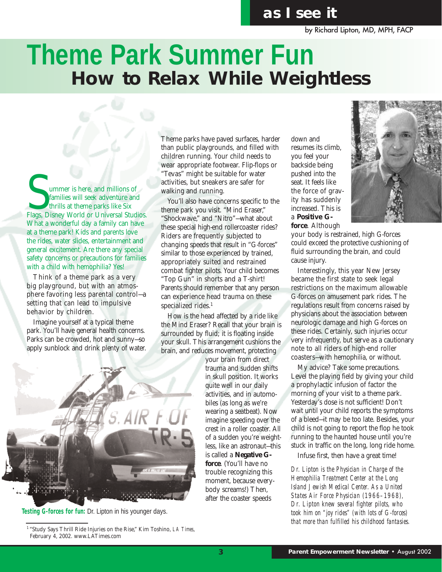## **as I see it**

by Richard Lipton, MD, MPH, FACP

# **Theme Park Summer Fun How to Relax While Weightless**

Summer is here, and millions of<br>families will seek adventure and<br>thrills at theme parks like Six<br>Flags, Disney World or Universal Studios. families will seek adventure and thrills at theme parks like Six What a wonderful day a family can have at a theme park! Kids and parents love the rides, water slides, entertainment and general excitement. Are there any special safety concerns or precautions for families with a child with hemophilia? Yes!

Think of a theme park as a very big playground, but with an atmosphere favoring less parental control—a setting that can lead to impulsive behavior by children.

Imagine yourself at a typical theme park. You'll have general health concerns. Parks can be crowded, hot and sunny—so apply sunblock and drink plenty of water. Theme parks have paved surfaces, harder than public playgrounds, and filled with children running. Your child needs to wear appropriate footwear. Flip-flops or "Tevas" might be suitable for water activities, but sneakers are safer for walking and running.

You'll also have concerns specific to the theme park you visit. "Mind Eraser," "Shockwave," and "Nitro"—what about these special high-end rollercoaster rides? Riders are frequently subjected to changing speeds that result in "G-forces" similar to those experienced by trained, appropriately suited and restrained combat fighter pilots. Your child becomes "Top Gun" in shorts and a T-shirt! Parents should remember that any person can experience head trauma on these specialized rides.<sup>1</sup>

How is the head affected by a ride like the Mind Eraser? Recall that your brain is surrounded by fluid; it is floating inside your skull. This arrangement cushions the brain, and reduces movement, protecting

> your brain from direct trauma and sudden shifts in skull position. It works quite well in our daily activities, and in automobiles (as long as we're wearing a seatbeat). Now imagine speeding over the crest in a roller coaster. All of a sudden you're weightless, like an astronaut—this is called a **Negative Gforce**. (You'll have no trouble recognizing this moment, because everybody screams!) Then, after the coaster speeds

down and resumes its climb, you feel your backside being pushed into the seat. It feels like the force of gravity has suddenly increased. This is a **Positive Gforce**. Although



your body is restrained, high G-forces could exceed the protective cushioning of fluid surrounding the brain, and could cause injury.

Interestingly, this year New Jersey became the first state to seek legal restrictions on the maximum allowable G-forces on amusement park rides. The regulations result from concerns raised by physicians about the association between neurologic damage and high G-forces on these rides. Certainly, such injuries occur very infrequently, but serve as a cautionary note to all riders of high-end roller coasters—with hemophilia, or without.

My advice? Take some precautions. Level the playing field by giving your child a prophylactic infusion of factor the morning of your visit to a theme park. Yesterday's dose is not sufficient! Don't wait until your child reports the symptoms of a bleed—it may be too late. Besides, your child is not going to report the flop he took running to the haunted house until you're stuck in traffic on the long, long ride home.

Infuse first, then have a great time!

*Dr. Lipton is the Physician in Charge of the Hemophilia Treatment Center at the Long Island Jewish Medical Center. As a United States Air Force Physician (1966–1968), Dr. Lipton knew several fighter pilots, who took him on "joy rides" (with lots of G-forces) that more than fulfilled his childhood fantasies.*



**Testing G-forces for fun:** Dr. Lipton in his younger days.

<sup>1 &</sup>quot;Study Says Thrill Ride Injuries on the Rise," Kim Toshino, *LA Times*, February 4, 2002. www.LATimes.com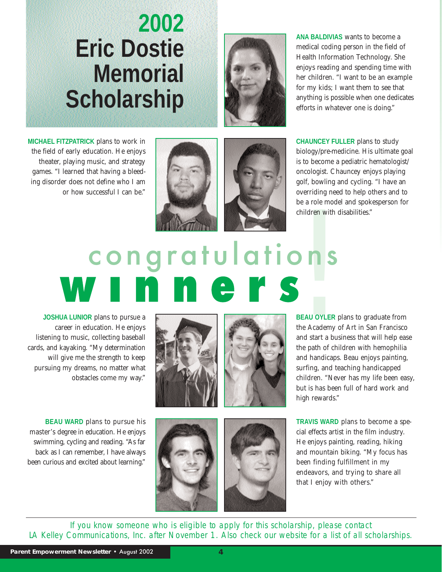# **2002 Eric Dostie Memorial Scholarship**



**ANA BALDIVIAS** wants to become a medical coding person in the field of Health Information Technology. She enjoys reading and spending time with her children. "I want to be an example for my kids; I want them to see that anything is possible when one dedicates efforts in whatever one is doing."

**MICHAEL FITZPATRICK** plans to work in the field of early education. He enjoys theater, playing music, and strategy games. "I learned that having a bleeding disorder does not define who I am or how successful I can be."





**CHAUNCEY FULLER** plans to study biology/pre-medicine. His ultimate goal is to become a pediatric hematologist/ oncologist. Chauncey enjoys playing golf, bowling and cycling. "I have an overriding need to help others and to be a role model and spokesperson for children with disabilities."

# ! congratulations

**JOSHUA LUNIOR** plans to pursue a career in education. He enjoys listening to music, collecting baseball cards, and kayaking. "My determination will give me the strength to keep pursuing my dreams, no matter what obstacles come my way."





**BEAU OYLER** plans to graduate from the Academy of Art in San Francisco and start a business that will help ease the path of children with hemophilia and handicaps. Beau enjoys painting, surfing, and teaching handicapped children. "Never has my life been easy, but is has been full of hard work and high rewards."

**BEAU WARD** plans to pursue his master's degree in education. He enjoys swimming, cycling and reading. "As far back as I can remember, I have always been curious and excited about learning."



**TRAVIS WARD** plans to become a special effects artist in the film industry. He enjoys painting, reading, hiking and mountain biking. "My focus has been finding fulfillment in my endeavors, and trying to share all that I enjoy with others."

If you know someone who is eligible to apply for this scholarship, please contact LA Kelley Communications, Inc. after November 1. Also check our website for a list of all scholarships.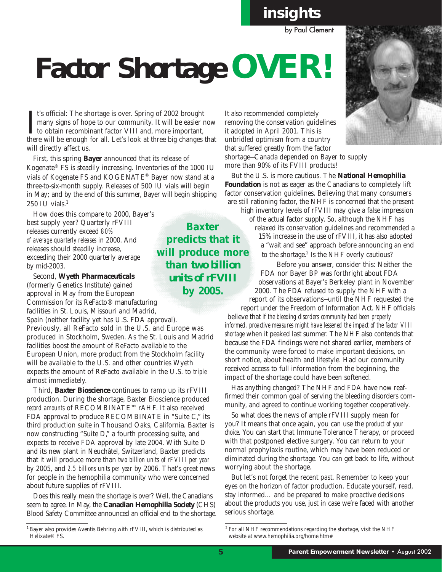## **insights**

by Paul Clement

# *Factor Shortage* **OVER!**

 $\prod_{\text{the}}$ t's official: The shortage is over. Spring of 2002 brought many signs of hope to our community. It will be easier now to obtain recombinant factor VIII and, more important, there will be enough for all. Let's look at three big changes that will directly affect us.

First, this spring **Bayer** announced that its release of Kogenate® FS is steadily increasing. Inventories of the 1000 IU vials of Kogenate FS and KOGENATE® Bayer now stand at a three-to-six-month supply. Releases of 500 IU vials will begin in May; and by the end of this summer, Bayer will begin shipping  $250$  IU vials.<sup>1</sup>

How does this compare to 2000, Bayer's best supply year? Quarterly rFVIII releases currently exceed *80% of average quarterly releases* in 2000. And releases should steadily increase, exceeding their 2000 quarterly average by mid-2003.

Second, **Wyeth Pharmaceuticals** (formerly Genetics Institute) gained approval in May from the European Commission for its ReFacto® manufacturing facilities in St. Louis, Missouri and Madrid,

Spain (neither facility yet has U.S. FDA approval). Previously, all ReFacto sold in the U.S. and Europe was produced in Stockholm, Sweden. As the St. Louis and Madrid facilities boost the amount of ReFacto available to the European Union, more product from the Stockholm facility will be available to the U.S. and other countries Wyeth expects the amount of ReFacto available in the U.S. to *triple* almost immediately.

Third, **Baxter Bioscience** continues to ramp up its rFVIII production. During the shortage, Baxter Bioscience produced *record amounts* of RECOMBINATE™ rAHF. It also received FDA approval to produce RECOMBINATE in "Suite C," its third production suite in Thousand Oaks, California. Baxter is now constructing "Suite D," a fourth processing suite, and expects to receive FDA approval by late 2004. With Suite D and its new plant in Neuchâtel, Switzerland, Baxter predicts that it will produce more than *two billion units of rFVIII per year* by 2005, and *2.5 billions units per year* by 2006. That's great news for people in the hemophilia community who were concerned about future supplies of rFVIII.

Does this really mean the shortage is over? Well, the Canadians seem to agree. In May, the **Canadian Hemophilia Society** (CHS) Blood Safety Committee announced an official end to the shortage. It also recommended completely removing the conservation guidelines it adopted in April 2001. This is unbridled optimism from a country that suffered greatly from the factor shortage—Canada depended on Bayer to supply more than 90% of its FVIII products!



But the U.S. is more cautious. The **National Hemophilia Foundation** is not as eager as the Canadians to completely lift factor conservation guidelines. Believing that many consumers are still rationing factor, the NHF is concerned that the present

high inventory levels of rFVIII may give a false impression of the actual factor supply. So, although the NHF has relaxed its conservation guidelines and recommended a 15% increase in the use of rFVIII, it has also adopted a "wait and see" approach before announcing an end to the shortage.2 Is the NHF overly cautious?

Before you answer, consider this: Neither the FDA nor Bayer BP was forthright about FDA observations at Bayer's Berkeley plant in November 2000. The FDA refused to supply the NHF with a report of its observations—until the NHF requested the

report under the Freedom of Information Act. NHF officials believe that *if the bleeding disorders community had been properly informed, proactive measures might have lessened the impact of the factor VIII shortage* when it peaked last summer. The NHF also contends that because the FDA findings were not shared earlier, members of the community were forced to make important decisions, on short notice, about health and lifestyle. Had our community received access to full information from the beginning, the impact of the shortage could have been softened. **Parent Completely**<br> **Parent Completely**<br> **Parent Completely**<br> **Parent Conservation**<br> **Parent Conservation**<br> **Parent Conservation**<br> **Parent Conservation**<br> **Parent Conservation**<br> **Parent Conservation**<br> **Parent Conservation** 

Has anything changed? The NHF and FDA have now reaffirmed their common goal of serving the bleeding disorders community, and agreed to continue working together cooperatively.

So what does the news of ample rFVIII supply mean for you? It means that once again, you can use the *product of your choice*. You can start that Immune Tolerance Therapy, or proceed with that postponed elective surgery. You can return to your normal prophylaxis routine, which may have been reduced or eliminated during the shortage. You can get back to life, without worrying about the shortage.

But let's not forget the recent past. Remember to keep your eyes on the horizon of factor production. Educate yourself, read, stay informed… and be prepared to make proactive decisions about the products you use, just in case we're faced with another serious shortage.

**Baxter predicts that it will produce more than** *two billion units of rFVIII*

**by 2005.**

<sup>&</sup>lt;sup>1</sup> Bayer also provides Aventis Behring with rFVIII, which is distributed as Helixate® FS.

<sup>2</sup> For all NHF recommendations regarding the shortage, visit the NHF website at www.hemophilia.org/home.htm#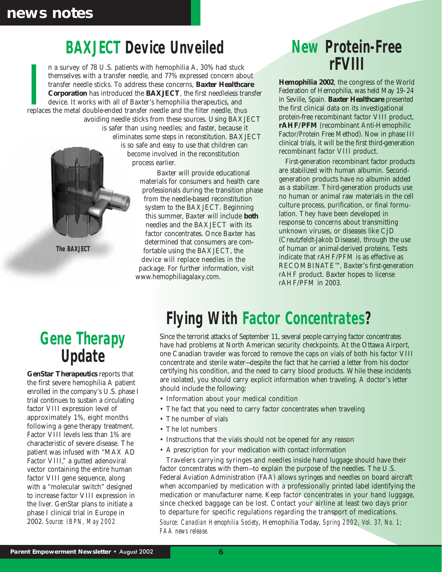## **BAXJECT Device Unveiled**

replaces the metal double-ended transfer needle, and 77% expressed concern about transfer needle sticks. To address these concerns, **Baxter Healthca**<br>**Corporation** has introduced the **BAXJECT**, the first needleless transfe n a survey of 78 U.S. patients with hemophilia A, 30% had stuck themselves with a transfer needle, and 77% expressed concern about transfer needle sticks. To address these concerns, **Baxter Healthcare Corporation** has introduced the **BAXJECT**, the first needleless transfer device. It works with all of Baxter's hemophilia therapeutics, and avoiding needle sticks from these sources. Using BAXJECT

**The BAXJECT**

is safer than using needles; and faster, because it eliminates some steps in reconstitution. BAXJECT is so safe and easy to use that children can become involved in the reconstitution process earlier.

> Baxter will provide educational materials for consumers and health care professionals during the transition phase from the needle-based reconstitution system to the BAXJECT. Beginning this summer, Baxter will include **both** needles and the BAXJECT with its factor concentrates. Once Baxter has determined that consumers are comfortable using the BAXJECT, the device will replace needles in the package. For further information, visit www.hemophiliagalaxy.com.

## **New Protein-Free rFVIII**

**Hemophilia 2002**, the congress of the World Federation of Hemophilia, was held May 19–24 in Seville, Spain. **Baxter Healthcare** presented the first clinical data on its investigational protein-free recombinant factor VIII product, **rAHF/PFM** (recombinant Anti-Hemophilic Factor/Protein Free Method). Now in phase III clinical trials, it will be the first third-generation recombinant factor VIII product.

First-generation recombinant factor products are stabilized with human albumin. Secondgeneration products have no albumin added as a stabilizer. Third-generation products use no human or animal raw materials in the cell culture process, purification, or final formulation. They have been developed in response to concerns about transmitting unknown viruses, or diseases like CJD (Creutzfeldt-Jakob Disease), through the use of human or animal-derived proteins. Tests indicate that rAHF/PFM is as effective as RECOMBINATE™, Baxter's first-generation rAHF product. Baxter hopes to license rAHF/PFM in 2003.

## **Gene Therapy Update**

**GenStar Therapeutics** reports that the first severe hemophilia A patient enrolled in the company's U.S. phase I trial continues to sustain a circulating factor VIII expression level of approximately 1%, eight months following a gene therapy treatment. Factor VIII levels less than 1% are characteristic of severe disease. The patient was infused with "MAX AD Factor VIII," a gutted adenoviral vector containing the entire human factor VIII gene sequence, along with a "molecular switch" designed to increase factor VIII expression in the liver. GenStar plans to initiate a phase I clinical trial in Europe in 2002. *Source: IBPN, May 2002*

## **Flying With Factor Concentrates?**

Since the terrorist attacks of September 11, several people carrying factor concentrates have had problems at North American security checkpoints. At the Ottawa Airport, one Canadian traveler was forced to remove the caps on vials of both his factor VIII concentrate and sterile water—despite the fact that he carried a letter from his doctor certifying his condition, and the need to carry blood products. While these incidents are isolated, you should carry explicit information when traveling. A doctor's letter should include the following:

- Information about your medical condition
- The fact that you need to carry factor concentrates when traveling
- The number of vials
- The lot numbers
- Instructions that the vials should not be opened for any reason
- A prescription for your medication with contact information

Travelers carrying syringes and needles inside hand luggage should have their factor concentrates with them—to explain the purpose of the needles. The U.S. Federal Aviation Administration (FAA) allows syringes and needles on board aircraft when accompanied by medication with a professionally printed label identifying the medication or manufacturer name. Keep factor concentrates in your hand luggage, since checked baggage can be lost. Contact your airline at least two days prior to departure for specific regulations regarding the transport of medications. *Source: Canadian Hemophilia Society*, Hemophilia Today, *Spring 2002, Vol. 37, No. 1; FAA news release.*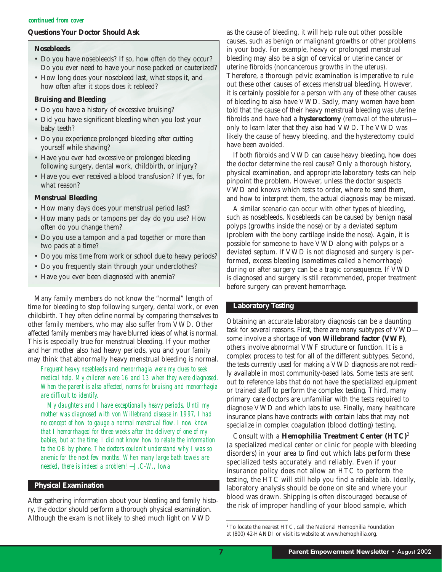#### *continued from cover*

#### **Questions Your Doctor Should Ask**

#### **Nosebleeds**

- Do you have nosebleeds? If so, how often do they occur? Do you ever need to have your nose packed or cauterized?
- How long does your nosebleed last, what stops it, and how often after it stops does it rebleed?

#### **Bruising and Bleeding**

- Do you have a history of excessive bruising?
- Did you have significant bleeding when you lost your baby teeth?
- Do you experience prolonged bleeding after cutting yourself while shaving?
- Have you ever had excessive or prolonged bleeding following surgery, dental work, childbirth, or injury?
- Have you ever received a blood transfusion? If yes, for what reason?

#### **Menstrual Bleeding**

- How many days does your menstrual period last?
- How many pads or tampons per day do you use? How often do you change them?
- Do you use a tampon and a pad together or more than two pads at a time?
- Do you miss time from work or school due to heavy periods?
- Do you frequently stain through your underclothes?
- Have you ever been diagnosed with anemia?

Many family members do not know the "normal" length of time for bleeding to stop following surgery, dental work, or even childbirth. They often define normal by comparing themselves to other family members, who may also suffer from VWD. Other affected family members may have blurred ideas of what is normal. This is especially true for menstrual bleeding. If your mother and her mother also had heavy periods, you and your family may think that abnormally heavy menstrual bleeding is normal.

*Frequent heavy nosebleeds and menorrhagia were my clues to seek medical help. My children were 16 and 13 when they were diagnosed. When the parent is also affected, norms for bruising and menorrhagia are difficult to identify.*

*My daughters and I have exceptionally heavy periods. Until my mother was diagnosed with von Willebrand disease in 1997, I had no concept of how to gauge a normal menstrual flow. I now know that I hemorrhaged for three weeks after the delivery of one of my babies, but at the time, I did not know how to relate the information to the OB by phone. The doctors couldn't understand why I was so anemic for the next few months. When many large bath towels are needed, there is indeed a problem! —J.C-W., Iowa*

#### **Physical Examination**

After gathering information about your bleeding and family history, the doctor should perform a thorough physical examination. Although the exam is not likely to shed much light on VWD

as the cause of bleeding, it will help rule out other possible causes, such as benign or malignant growths or other problems in your body. For example, heavy or prolonged menstrual bleeding may also be a sign of cervical or uterine cancer or uterine fibroids (noncancerous growths in the uterus). Therefore, a thorough pelvic examination is imperative to rule out these other causes of excess menstrual bleeding. However, it is certainly possible for a person with any of these other causes of bleeding to also have VWD. Sadly, many women have been told that the cause of their heavy menstrual bleeding was uterine fibroids and have had a **hysterectomy** (removal of the uterus) only to learn later that they also had VWD. The VWD was likely the cause of heavy bleeding, and the hysterectomy could have been avoided.

If both fibroids and VWD can cause heavy bleeding, how does the doctor determine the real cause? Only a thorough history, physical examination, and appropriate laboratory tests can help pinpoint the problem. However, unless the doctor suspects VWD and knows which tests to order, where to send them, and how to interpret them, the actual diagnosis may be missed.

A similar scenario can occur with other types of bleeding, such as nosebleeds. Nosebleeds can be caused by benign nasal polyps (growths inside the nose) or by a deviated septum (problem with the bony cartilage inside the nose). Again, it is possible for someone to have VWD along with polyps or a deviated septum. If VWD is not diagnosed and surgery is performed, excess bleeding (sometimes called a hemorrhage) during or after surgery can be a tragic consequence. If VWD is diagnosed and surgery is still recommended, proper treatment before surgery can prevent hemorrhage.

#### **Laboratory Testing**

Obtaining an accurate laboratory diagnosis can be a daunting task for several reasons. First, there are many subtypes of VWD some involve a shortage of **von Willebrand factor (VWF)**, others involve abnormal VWF structure or function. It is a complex process to test for all of the different subtypes. Second, the tests currently used for making a VWD diagnosis are not readily available in most community-based labs. Some tests are sent out to reference labs that do not have the specialized equipment or trained staff to perform the complex testing. Third, many primary care doctors are unfamiliar with the tests required to diagnose VWD and which labs to use. Finally, many healthcare insurance plans have contracts with certain labs that may not specialize in complex coagulation (blood clotting) testing.

Consult with a **Hemophilia Treatment Center (HTC)**<sup>2</sup> (a specialized medical center or clinic for people with bleeding disorders) in your area to find out which labs perform these specialized tests accurately and reliably. Even if your insurance policy does not allow an HTC to perform the testing, the HTC will still help you find a reliable lab. Ideally, laboratory analysis should be done on site and where your blood was drawn. Shipping is often discouraged because of the risk of improper handling of your blood sample, which

 $^{\rm 2}$  To locate the nearest HTC, call the National Hemophilia Foundation at (800) 42-HANDI or visit its website at www.hemophilia.org.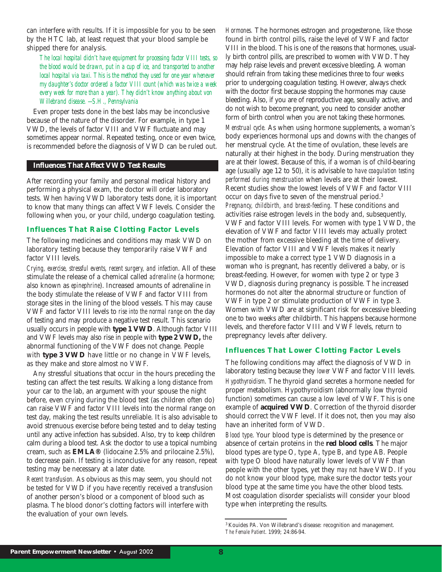can interfere with results. If it is impossible for you to be seen by the HTC lab, at least request that your blood sample be shipped there for analysis.

*The local hospital didn't have equipment for processing factor VIII tests, so the blood would be drawn, put in a cup of ice, and transported to another local hospital via taxi. This is the method they used for one year whenever my daughter's doctor ordered a factor VIII count (which was twice a week every week for more than a year). They didn't know anything about von Willebrand disease. —S.H., Pennsylvania*

Even proper tests done in the best labs may be inconclusive because of the nature of the disorder. For example, in type 1 VWD, the levels of factor VIII and VWF fluctuate and may sometimes appear normal. Repeated testing, once or even twice, is recommended before the diagnosis of VWD can be ruled out.

#### **Influences That Affect VWD Test Results**

After recording your family and personal medical history and performing a physical exam, the doctor will order laboratory tests. When having VWD laboratory tests done, it is important to know that many things can affect VWF levels. Consider the following when you, or your child, undergo coagulation testing.

#### **Influences That Raise Clotting Factor Levels**

The following medicines and conditions may mask VWD on laboratory testing because they temporarily raise VWF and factor VIII levels.

*Crying, exercise, stressful events, recent surgery, and infection*. All of these stimulate the release of a chemical called *adrenaline* (a hormone; also known as *epinephrine*). Increased amounts of adrenaline in the body stimulate the release of VWF and factor VIII from storage sites in the lining of the blood vessels. This may cause VWF and factor VIII levels to *rise into the normal range* on the day of testing and may produce a negative test result. This scenario usually occurs in people with **type 1 VWD**. Although factor VIII and VWF levels may also rise in people with **type 2 VWD,** the abnormal functioning of the VWF does not change. People with **type 3 VWD** have little or no change in VWF levels, as they make and store almost no VWF.

Any stressful situations that occur in the hours preceding the testing can affect the test results. Walking a long distance from your car to the lab, an argument with your spouse the night before, even crying during the blood test (as children often do) can raise VWF and factor VIII levels into the normal range on test day, making the test results unreliable. It is also advisable to avoid strenuous exercise before being tested and to delay testing until any active infection has subsided. Also, try to keep children calm during a blood test. Ask the doctor to use a topical numbing cream, such as **EMLA®** (lidocaine 2.5% and prilocaine 2.5%), to decrease pain. If testing is inconclusive for any reason, repeat testing may be necessary at a later date.

*Recent transfusion.* As obvious as this may seem, you should not be tested for VWD if you have recently received a transfusion of another person's blood or a component of blood such as plasma. The blood donor's clotting factors will interfere with the evaluation of your own levels.

*Hormones.* The hormones estrogen and progesterone, like those found in birth control pills, raise the level of VWF and factor VIII in the blood. This is one of the reasons that hormones, usually birth control pills, are prescribed to women with VWD. They may help raise levels and prevent excessive bleeding. A woman should refrain from taking these medicines three to four weeks prior to undergoing coagulation testing. However, always check with the doctor first because stopping the hormones may cause bleeding. Also, if you are of reproductive age, sexually active, and do not wish to become pregnant, you need to consider another form of birth control when you are not taking these hormones.

*Menstrual cycle.* As when using hormone supplements, a woman's body experiences hormonal ups and downs with the changes of her menstrual cycle. At the time of ovulation, these levels are naturally at their highest in the body. During menstruation they are at their lowest. Because of this, if a woman is of child-bearing age (usually age 12 to 50), it is advisable to *have coagulation testing performed during menstruation* when levels are at their lowest. Recent studies show the lowest levels of VWF and factor VIII occur on days five to seven of the menstrual period.3 *Pregnancy, childbirth, and breast-feeding.* These conditions and activities raise estrogen levels in the body and, subsequently, VWF and factor VIII levels. For women with type 1 VWD, the elevation of VWF and factor VIII levels may actually protect the mother from excessive bleeding at the time of delivery. Elevation of factor VIII and VWF levels makes it nearly impossible to make a correct type 1 VWD diagnosis in a woman who is pregnant, has recently delivered a baby, or is breast-feeding. However, for women with type 2 or type 3 VWD, diagnosis during pregnancy is possible. The increased hormones do not alter the abnormal structure or function of VWF in type 2 or stimulate production of VWF in type 3. Women with VWD are at significant risk for excessive bleeding one to two weeks after childbirth. This happens because hormone levels, and therefore factor VIII and VWF levels, return to prepregnancy levels after delivery.

#### **Influences That Lower Clotting Factor Levels**

The following conditions may affect the diagnosis of VWD in laboratory testing because they *lower* VWF and factor VIII levels. *Hypothyroidism*. The thyroid gland secretes a hormone needed for proper metabolism. Hypothyroidism (abnormally low thyroid function) sometimes can cause a low level of VWF. This is one example of **acquired VWD**. Correction of the thyroid disorder should correct the VWF level. If it does not, then you may also have an inherited form of VWD.

*Blood type*. Your blood type is determined by the presence or absence of certain proteins in the **red blood cells**. The major blood types are type O, type A, type B, and type AB. People with type O blood have naturally lower levels of VWF than people with the other types, yet they *may not* have VWD. If you do not know your blood type, make sure the doctor tests your blood type at the same time you have the other blood tests. Most coagulation disorder specialists will consider your blood type when interpreting the results.

<sup>3</sup> Kouides PA. Von Willebrand's disease: recognition and management. *The Female Patient*. 1999; 24:86-94.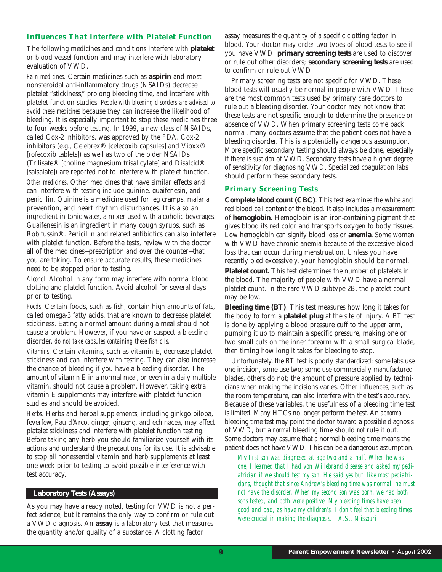#### **Influences That Interfere with Platelet Function**

The following medicines and conditions interfere with **platelet** or blood vessel function and may interfere with laboratory evaluation of VWD.

*Pain medicines*. Certain medicines such as **aspirin** and most nonsteroidal anti-inflammatory drugs (NSAIDs) decrease platelet "stickiness," prolong bleeding time, and interfere with platelet function studies. *People with bleeding disorders are advised to avoid these medicines* because they can increase the likelihood of bleeding. It is especially important to stop these medicines three to four weeks before testing. In 1999, a new class of NSAIDs, called Cox-2 inhibitors, was approved by the FDA. Cox-2 inhibitors (e.g., Celebrex® [celecoxib capsules] and Vioxx® [rofecoxib tablets]) as well as two of the older NSAIDs (Trilisate® [choline magnesium trisalicylate] and Disalcid® [salsalate]) are reported not to interfere with platelet function. *Other medicines*. Other medicines that have similar effects and can interfere with testing include quinine, guaifenesin, and penicillin. Quinine is a medicine used for leg cramps, malaria prevention, and heart rhythm disturbances. It is also an ingredient in tonic water, a mixer used with alcoholic beverages. Guaifenesin is an ingredient in many cough syrups, such as Robitussin®. Penicillin and related antibiotics can also interfere with platelet function. Before the tests, review with the doctor all of the medicines—prescription and over the counter—that you are taking. To ensure accurate results, these medicines need to be stopped prior to testing.

*Alcohol*. Alcohol in any form may interfere with normal blood clotting and platelet function. Avoid alcohol for several days prior to testing.

*Foods*. Certain foods, such as fish, contain high amounts of fats, called omega-3 fatty acids, that are known to decrease platelet stickiness. Eating a normal amount during a meal should not cause a problem. However, if you have or suspect a bleeding disorder, *do not take capsules containing these fish oils*.

*Vitamins*. Certain vitamins, such as vitamin E, decrease platelet stickiness and can interfere with testing. They can also increase the chance of bleeding if you have a bleeding disorder. The amount of vitamin E in a normal meal, or even in a daily multiple vitamin, should not cause a problem. However, taking extra vitamin E supplements may interfere with platelet function studies and should be avoided.

*Herbs*. Herbs and herbal supplements, including ginkgo biloba, feverfew, Pau d'Arco, ginger, ginseng, and echinacea, may affect platelet stickiness and interfere with platelet function testing. Before taking any herb you should familiarize yourself with its actions and understand the precautions for its use. It is advisable to stop all nonessential vitamin and herb supplements at least one week prior to testing to avoid possible interference with test accuracy.

#### **Laboratory Tests (Assays)**

As you may have already noted, testing for VWD is not a perfect science, but it remains the only way to confirm or rule out a VWD diagnosis. An **assay** is a laboratory test that measures the quantity and/or quality of a substance. A clotting factor

assay measures the quantity of a specific clotting factor in blood. Your doctor may order two types of blood tests to see if you have VWD: **primary screening tests** are used to discover or rule out other disorders; **secondary screening tests** are used to confirm or rule out VWD.

Primary screening tests are not specific for VWD. These blood tests will usually be normal in people with VWD. These are the most common tests used by primary care doctors to rule out a bleeding disorder. Your doctor may not know that these tests are not specific enough to determine the presence or absence of VWD. When primary screening tests come back normal, many doctors assume that the patient does not have a bleeding disorder. This is a potentially dangerous assumption. More specific secondary testing should always be done, especially if there is *suspicion* of VWD. Secondary tests have a higher degree of sensitivity for diagnosing VWD. Specialized coagulation labs should perform these secondary tests.

#### **Primary Screening Tests**

**Complete blood count (CBC)**. This test examines the white and red blood cell content of the blood. It also includes a measurement of **hemoglobin**. Hemoglobin is an iron-containing pigment that gives blood its red color and transports oxygen to body tissues. Low hemoglobin can signify blood loss or **anemia**. Some women with VWD have chronic anemia because of the excessive blood loss that can occur during menstruation. Unless you have recently bled excessively, your hemoglobin should be normal.

**Platelet count.** This test determines the number of platelets in the blood. The majority of people with VWD have a normal platelet count. In the rare VWD subtype 2B, the platelet count may be low.

**Bleeding time (BT)**. This test measures how long it takes for the body to form a **platelet plug** at the site of injury. A BT test is done by applying a blood pressure cuff to the upper arm, pumping it up to maintain a specific pressure, making one or two small cuts on the inner forearm with a small surgical blade, then timing how long it takes for bleeding to stop.

Unfortunately, the BT test is poorly standardized: some labs use one incision, some use two; some use commercially manufactured blades, others do not; the amount of pressure applied by technicians when making the incisions varies. Other influences, such as the room temperature, can also interfere with the test's accuracy. Because of these variables, the usefulness of a bleeding time test is limited. Many HTCs no longer perform the test. An *abnormal* bleeding time test may point the doctor toward a possible diagnosis of VWD, but a *normal* bleeding time should *not* rule it out. Some doctors may assume that a normal bleeding time means the patient does not have VWD. This can be a dangerous assumption.

*My first son was diagnosed at age two and a half. When he was one, I learned that I had von Willebrand disease and asked my pediatrician if we should test my son. He said yes but, like most pediatricians, thought that since Andrew's bleeding time was normal, he must not have the disorder. When my second son was born, we had both sons tested, and both were positive. My bleeding times have been good and bad, as have my children's. I don't feel that bleeding times were crucial in making the diagnosis. —A.S., Missouri*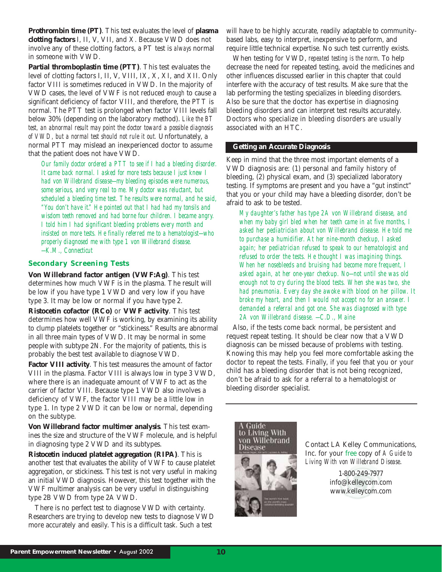**Prothrombin time (PT)**. This test evaluates the level of **plasma clotting factors** I, II, V, VII, and X. Because VWD does not involve any of these clotting factors, a PT test is *always* normal in someone with VWD.

**Partial thromboplastin time (PTT)**. This test evaluates the level of clotting factors I, II, V, VIII, IX, X, XI, and XII. Only factor VIII is sometimes reduced in VWD. In the majority of VWD cases, the level of VWF is not reduced *enough* to cause a significant deficiency of factor VIII, and therefore, the PTT is normal. The PTT test is prolonged when factor VIII levels fall below 30% (depending on the laboratory method). *Like the BT test, an abnormal result may point the doctor toward a possible diagnosis of VWD, but a normal test should not rule it out.* Unfortunately, a normal PTT may mislead an inexperienced doctor to assume that the patient does not have VWD.

*Our family doctor ordered a PTT to see if I had a bleeding disorder. It came back normal. I asked for more tests because I just knew I had von Willebrand disease—my bleeding episodes were numerous, some serious, and very real to me. My doctor was reluctant, but scheduled a bleeding time test. The results were normal, and he said, "You don't have it." He pointed out that I had had my tonsils and wisdom teeth removed and had borne four children. I became angry. I told him I had significant bleeding problems every month and insisted on more tests. He finally referred me to a hematologist—who properly diagnosed me with type 1 von Willebrand disease. —K.M., Connecticut*

#### **Secondary Screening Tests**

**Von Willebrand factor antigen (VWF:Ag)**. This test determines how much VWF is in the plasma. The result will be low if you have type 1 VWD and very low if you have type 3. It may be low or normal if you have type 2.

**Ristocetin cofactor (RCo)** or **VWF activity**. This test determines how well VWF is working, by examining its ability to clump platelets together or "stickiness." Results are abnormal in all three main types of VWD. It may be normal in some people with subtype 2N. For the majority of patients, this is probably the best test available to diagnose VWD.

**Factor VIII activity**. This test measures the amount of factor VIII in the plasma. Factor VIII is always low in type 3 VWD, where there is an inadequate amount of VWF to act as the carrier of factor VIII. Because type 1 VWD also involves a deficiency of VWF, the factor VIII may be a little low in type 1. In type 2 VWD it can be low or normal, depending on the subtype.

**Von Willebrand factor multimer analysis**. This test examines the size and structure of the VWF molecule, and is helpful in diagnosing type 2 VWD and its subtypes.

**Ristocetin induced platelet aggregation (RIPA)**. This is another test that evaluates the ability of VWF to cause platelet aggregation, or stickiness. This test is not very useful in making an initial VWD diagnosis. However, this test together with the VWF multimer analysis can be very useful in distinguishing type 2B VWD from type 2A VWD.

There is no perfect test to diagnose VWD with certainty. Researchers are trying to develop new tests to diagnose VWD more accurately and easily. This is a difficult task. Such a test

will have to be highly accurate, readily adaptable to communitybased labs, easy to interpret, inexpensive to perform, and require little technical expertise. No such test currently exists.

When testing for VWD, *repeated testing is the norm*. To help decrease the need for repeated testing, avoid the medicines and other influences discussed earlier in this chapter that could interfere with the accuracy of test results. Make sure that the lab performing the testing specializes in bleeding disorders. Also be sure that the doctor has expertise in diagnosing bleeding disorders and can interpret test results accurately. Doctors who specialize in bleeding disorders are usually associated with an HTC.

#### **Getting an Accurate Diagnosis**

Keep in mind that the three most important elements of a VWD diagnosis are: (1) personal and family history of bleeding, (2) physical exam, and (3) specialized laboratory testing. If symptoms are present and you have a "gut instinct" that you or your child may have a bleeding disorder, don't be afraid to ask to be tested.

*My daughter's father has type 2A von Willebrand disease, and when my baby girl bled when her teeth came in at five months, I asked her pediatrician about von Willebrand disease. He told me to purchase a humidifier. At her nine-month checkup, I asked again; her pediatrician refused to speak to our hematologist and refused to order the tests. He thought I was imagining things. When her nosebleeds and bruising had become more frequent, I asked again, at her one-year checkup. No—not until she was old enough not to cry during the blood tests. When she was two, she had pneumonia. Every day she awoke with blood on her pillow. It broke my heart, and then I would not accept no for an answer. I demanded a referral and got one. She was diagnosed with type 2A von Willebrand disease. —C.D., Maine*

Also, if the tests come back normal, be persistent and request repeat testing. It should be clear now that a VWD diagnosis can be missed because of problems with testing. Knowing this may help you feel more comfortable asking the doctor to repeat the tests. Finally, if you feel that you or your child has a bleeding disorder that is not being recognized, don't be afraid to ask for a referral to a hematologist or bleeding disorder specialist.

A Guide to Living With von Willebrand **Disease** 

Contact LA Kelley Communications, Inc. for your free copy of *A Guide to Living With von Willebrand Disease*.

> 1-800-249-7977 info@kelleycom.com www.kelleycom.com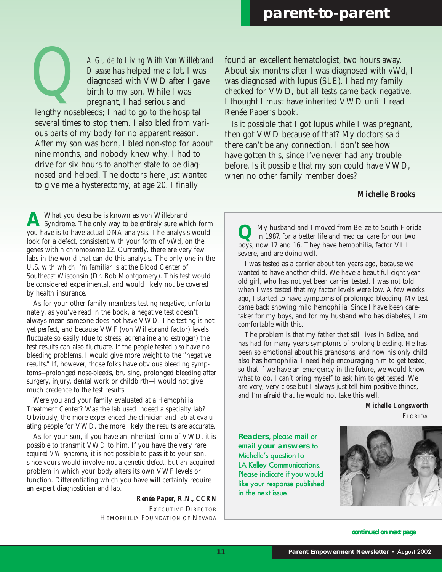Q *A Guide to Living With Von Willebrand Disease* has helped me a lot. I was diagnosed with VWD after I gave birth to my son. While I was pregnant, I had serious and

lengthy nosebleeds; I had to go to the hospital several times to stop them. I also bled from various parts of my body for no apparent reason. After my son was born, I bled non-stop for about nine months, and nobody knew why. I had to drive for six hours to another state to be diagnosed and helped. The doctors here just wanted to give me a hysterectomy, at age 20. I finally

A What you describe is known as von Willebrand<br>Syndrome. The only way to be entirely sure which form you have is to have actual DNA analysis. The analysis would look for a defect, consistent with your form of vWd, on the genes within chromosome 12. Currently, there are very few labs in the world that can do this analysis. The only one in the U.S. with which I'm familiar is at the Blood Center of Southeast Wisconsin (Dr. Bob Montgomery). This test would be considered experimental, and would likely not be covered by health insurance.

As for your other family members testing negative, unfortunately, as you've read in the book, a negative test doesn't always mean someone does not have VWD. The testing is not yet perfect, and because VWF (von Willebrand factor) levels fluctuate so easily (due to stress, adrenaline and estrogen) the test results can also fluctuate. If the people tested *also* have no bleeding problems, I would give more weight to the "negative results." If, however, those folks have obvious bleeding symptoms—prolonged nose-bleeds, bruising, prolonged bleeding after surgery, injury, dental work or childbirth—I would not give much credence to the test results.

Were you and your family evaluated at a Hemophilia Treatment Center? Was the lab used indeed a specialty lab? Obviously, the more experienced the clinician and lab at evaluating people for VWD, the more likely the results are accurate.

As for your son, if you have an inherited form of VWD, it is possible to transmit VWD to him. If you have the very rare *acquired VW syndrome*, it is not possible to pass it to your son, since yours would involve not a genetic defect, but an acquired problem in which your body alters its own VWF levels or function. Differentiating which you have will certainly require an expert diagnostician and lab.

> *Renée Paper, R.N., CCRN* EXECUTIVE DIRECTOR HEMOPHILIA FOUNDATION OF NEVADA

found an excellent hematologist, two hours away. About six months after I was diagnosed with vWd, I was diagnosed with lupus (SLE). I had my family checked for VWD, but all tests came back negative. I thought I must have inherited VWD until I read Renée Paper's book.

Is it possible that I got lupus while I was pregnant, then got VWD because of that? My doctors said there can't be any connection. I don't see how I have gotten this, since I've never had any trouble before. Is it possible that my son could have VWD, when no other family member does?

#### *Michelle Brooks*

**Q** My husband and I moved from Belize to South Florida<br>in 1987, for a better life and medical care for our two boys, now 17 and 16. They have hemophilia, factor VIII severe, and are doing well.

I was tested as a carrier about ten years ago, because we wanted to have another child. We have a beautiful eight-yearold girl, who has not yet been carrier tested. I was not told when I was tested that my factor levels were low. A few weeks ago, I started to have symptoms of prolonged bleeding. My test came back showing mild hemophilia. Since I have been caretaker for my boys, and for my husband who has diabetes, I am comfortable with this.

The problem is that my father that still lives in Belize, and has had for many years symptoms of prolong bleeding. He has been so emotional about his grandsons, and now his only child also has hemophilia. I need help encouraging him to get tested, so that if we have an emergency in the future, we would know what to do. I can't bring myself to ask him to get tested. We are very, very close but I always just tell him positive things, and I'm afraid that he would not take this well.

> *Michelle Longsworth* FLORIDA

**Readers**, please **mail** or **email your answers** to Michelle's question to LA Kelley Communications. Please indicate if you would like your response published in the next issue.



*continued on next page*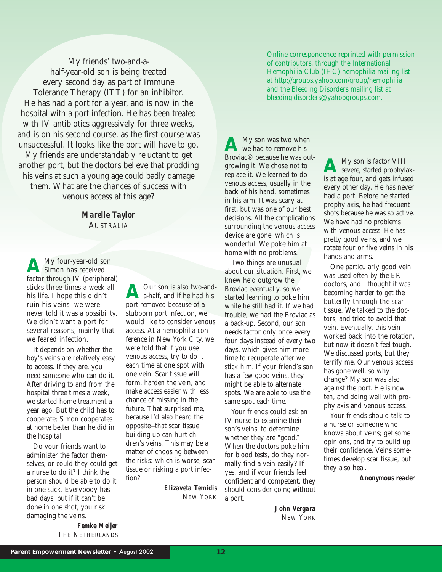My friends' two-and-ahalf-year-old son is being treated every second day as part of Immune Tolerance Therapy (ITT) for an inhibitor. He has had a port for a year, and is now in the hospital with a port infection. He has been treated with IV antibiotics aggressively for three weeks, and is on his second course, as the first course was unsuccessful. It looks like the port will have to go. My friends are understandably reluctant to get another port, but the doctors believe that prodding his veins at such a young age could badly damage them. What are the chances of success with venous access at this age?

> *Marelle Taylor* AUSTRALIA

**A** My four-year-old son<br>Simon has received factor through IV (peripheral) sticks three times a week all his life. I hope this didn't ruin his veins—we were never told it was a possibility. We didn't want a port for several reasons, mainly that we feared infection.

It depends on whether the boy's veins are relatively easy to access. If they are, you need someone who can do it. After driving to and from the hospital three times a week, we started home treatment a year ago. But the child has to cooperate; Simon cooperates at home better than he did in the hospital.

Do your friends want to administer the factor themselves, or could they could get a nurse to do it? I think the person should be able to do it in one stick. Everybody has bad days, but if it can't be done in one shot, you risk damaging the veins.

*Femke Meijer*

A Our son is also two-and-<br>a-half, and if he had his port removed because of a stubborn port infection, we would like to consider venous access. At a hemophilia conference in New York City, we were told that if you use venous access, try to do it each time at one spot with one vein. Scar tissue will form, harden the vein, and make access easier with less chance of missing in the future. That surprised me, because I'd also heard the opposite—that scar tissue building up can hurt children's veins. This may be a matter of choosing between the risks: which is worse, scar tissue or risking a port infection?

> *Elizaveta Temidis* NEW YORK

Online correspondence reprinted with permission of contributors, through the International Hemophilia Club (IHC) hemophilia mailing list at http://groups.yahoo.com/group/hemophilia and the Bleeding Disorders mailing list at bleeding-disorders@yahoogroups.com.

**A** My son was two when we had to remove his Broviac® because he was outgrowing it. We chose not to replace it. We learned to do venous access, usually in the back of his hand, sometimes in his arm. It was scary at first, but was one of our best decisions. All the complications surrounding the venous access device are gone, which is wonderful. We poke him at home with no problems.

Two things are unusual about our situation. First, we knew he'd outgrow the Broviac eventually, so we started learning to poke him while he still had it. If we had trouble, we had the Broviac as a back-up. Second, our son needs factor only once every four days instead of every two days, which gives him more time to recuperate after we stick him. If your friend's son has a few good veins, they might be able to alternate spots. We are able to use the same spot each time.

Your friends could ask an IV nurse to examine their son's veins, to determine whether they are "good." When the doctors poke him for blood tests, do they normally find a vein easily? If yes, and if your friends feel confident and competent, they should consider going without a port.

> *John Vergara* NEW YORK

**A** My son is factor VIII<br>severe, started prophylaxis at age four, and gets infused every other day. He has never had a port. Before he started prophylaxis, he had frequent shots because he was so active. We have had no problems with venous access. He has pretty good veins, and we rotate four or five veins in his hands and arms.

One particularly good vein was used often by the ER doctors, and I thought it was becoming harder to get the butterfly through the scar tissue. We talked to the doctors, and tried to avoid that vein. Eventually, this vein worked back into the rotation, but now it doesn't feel tough. We discussed ports, but they terrify me. Our venous access has gone well, so why change? My son was also against the port. He is now ten, and doing well with prophylaxis and venous access.

Your friends should talk to a nurse or someone who knows about veins; get some opinions, and try to build up their confidence. Veins sometimes develop scar tissue, but they also heal.

*Anonymous reader*

THE NETHERLANDS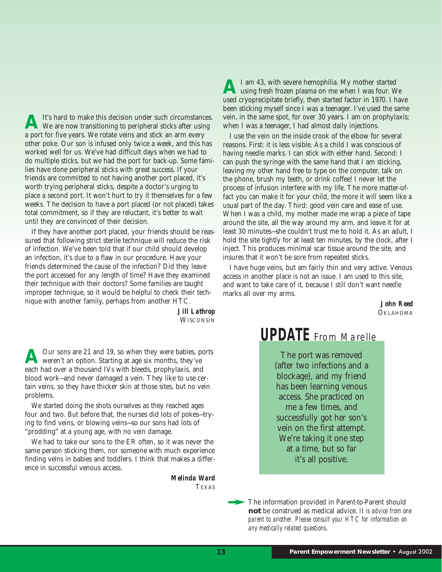A It's hard to make this decision under such circumstances.<br>We are now transitioning to peripheral sticks after using a port for five years. We rotate veins and stick an arm every other poke. Our son is infused only twice a week, and this has worked well for us. We've had difficult days when we had to do multiple sticks, but we had the port for back-up. Some families have done peripheral sticks with great success. If your friends are committed to not having another port placed, it's worth trying peripheral sticks, despite a doctor's urging to place a second port. It won't hurt to try it themselves for a few weeks. The decision to have a port placed (or not placed) takes total commitment, so if they are reluctant, it's better to wait until they are convinced of their decision.

If they have another port placed, your friends should be reassured that following strict sterile technique will reduce the risk of infection. We've been told that if our child should develop an infection, it's due to a flaw in our procedure. Have your friends determined the cause of the infection? Did they leave the port accessed for any length of time? Have they examined their technique with their doctors? Some families are taught improper technique, so it would be helpful to check their technique with another family, perhaps from another HTC.

> *Jill Lathrop* **WISCONSIN**

A Our sons are 21 and 19, so when they were babies, ports<br>weren't an option. Starting at age six months, they've each had over a thousand IVs with bleeds, prophylaxis, and blood work—and never damaged a vein. They like to use certain veins, so they have thicker skin at those sites, but no vein problems.

We started doing the shots ourselves as they reached ages four and two. But before that, the nurses did lots of pokes—trying to find veins, or blowing veins—so our sons had lots of "prodding" at a young age, with no vein damage.

We had to take our sons to the ER often, so it was never the same person sticking them, nor someone with much experience finding veins in babies and toddlers. I think that makes a difference in successful venous access.

> *Melinda Ward* **TEXAS**

**A**I am 43, with severe hemophilia. My mother started using fresh frozen plasma on me when I was four. We used cryoprecipitate briefly, then started factor in 1970. I have been sticking myself since I was a teenager. I've used the same vein, in the same spot, for over 30 years. I am on prophylaxis; when I was a teenager, I had almost daily injections.

I use the vein on the inside crook of the elbow for several reasons. First: it is less visible. As a child I was conscious of having needle marks. I can stick with either hand. Second: I can push the syringe with the same hand that I am sticking, leaving my other hand free to type on the computer, talk on the phone, brush my teeth, or drink coffee! I never let the process of infusion interfere with my life. The more matter-offact you can make it for your child, the more it will seem like a usual part of the day. Third: good vein care and ease of use. When I was a child, my mother made me wrap a piece of tape around the site, all the way around my arm, and leave it for at least 30 minutes—she couldn't trust me to hold it. As an adult, I hold the site tightly for at least ten minutes, by the clock, after I inject. This produces minimal scar tissue around the site, and insures that it won't be sore from repeated sticks.

I have huge veins, but am fairly thin and very active. Venous access in another place is not an issue. I am used to this site, and want to take care of it, because I still don't want needle marks all over my arms.

> *John Reed* **OKLAHOMA**

## **UPDATE** From Marelle

The port was removed (after two infections and a blockage), and my friend has been learning venous access. She practiced on me a few times, and successfully got her son's vein on the first attempt. We're taking it one step at a time, but so far it's all positive.

The information provided in Parent-to-Parent should **not** be construed as medical advice. *It is advice from one parent to another. Please consult your HTC for information on any medically related questions*.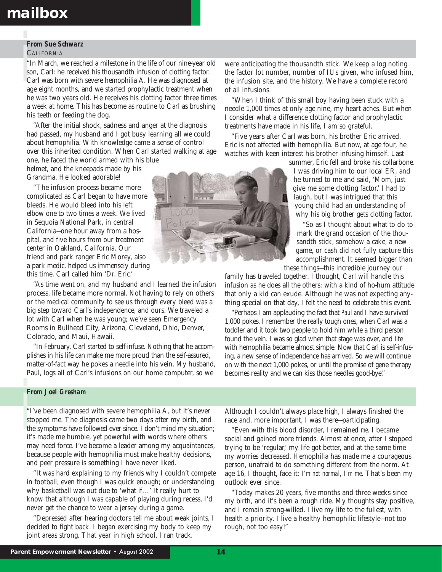## **mailbox**

#### *From Sue Schwarz* **CALIFORNIA**

*Fr*<br> *CA*<br> *i* Ir<br>
sor<br>
Ca<br>
age<br>
he "In March, we reached a milestone in the life of our nine-year old son, Carl: he received his thousandth infusion of clotting factor. Carl was born with severe hemophilia A. He was diagnosed at age eight months, and we started prophylactic treatment when he was two years old. He receives his clotting factor three times a week at home. This has become as routine to Carl as brushing his teeth or feeding the dog.

"After the initial shock, sadness and anger at the diagnosis had passed, my husband and I got busy learning all we could about hemophilia. With knowledge came a sense of control over this inherited condition. When Carl started walking at age

one, he faced the world armed with his blue helmet, and the kneepads made by his Grandma. He looked adorable!

"The infusion process became more complicated as Carl began to have more bleeds. He would bleed into his left elbow one to two times a week. We lived in Sequoia National Park, in central California—one hour away from a hospital, and five hours from our treatment center in Oakland, California. Our friend and park ranger Eric Morey, also a park medic, helped us immensely during this time. Carl called him 'Dr. Eric.'

"As time went on, and my husband and I learned the infusion process, life became more normal. Not having to rely on others or the medical community to see us through every bleed was a big step toward Carl's independence, and ours. We traveled a lot with Carl when he was young; we've seen Emergency Rooms in Bullhead City, Arizona, Cleveland, Ohio, Denver, Colorado, and Maui, Hawaii.

"In February, Carl started to self-infuse. Nothing that he accomplishes in his life can make me more proud than the self-assured, matter-of-fact way he pokes a needle into his vein. My husband, Paul, logs all of Carl's infusions on our home computer, so we

#### *From Joel Gresham*

*Fr*<br>
<sup>"I</sup>"<br>
sto<br>
the<br>
it's<br>
ma "I've been diagnosed with severe hemophilia A, but it's never stopped me. The diagnosis came two days after my birth, and the symptoms have followed ever since. I don't mind my situation; it's made me humble, yet powerful with words where others may need force. I've become a leader among my acquaintances, because people with hemophilia must make healthy decisions, and peer pressure is something I have never liked.

"It was hard explaining to my friends why I couldn't compete in football, even though I was quick enough; or understanding why basketball was out due to 'what if…' It really hurt to know that although I was capable of playing during recess, I'd never get the chance to wear a jersey during a game.

"Depressed after hearing doctors tell me about weak joints, I decided to fight back. I began exercising my body to keep my joint areas strong. That year in high school, I ran track.



were anticipating the thousandth stick. We keep a log noting the factor lot number, number of IUs given, who infused him, the infusion site, and the history. We have a complete record of all infusions.

"When I think of this small boy having been stuck with a needle 1,000 times at only age nine, my heart aches. But when I consider what a difference clotting factor and prophylactic treatments have made in his life, I am so grateful.

"Five years after Carl was born, his brother Eric arrived. Eric is not affected with hemophilia. But now, at age four, he watches with keen interest his brother infusing himself. Last

summer, Eric fell and broke his collarbone. I was driving him to our local ER, and he turned to me and said, 'Mom, just give me some clotting factor.' I had to laugh, but I was intrigued that this young child had an understanding of why his big brother gets clotting factor.

"So as I thought about what to do to mark the grand occasion of the thousandth stick, somehow a cake, a new game, or cash did not fully capture this accomplishment. It seemed bigger than these things—this incredible journey our

family has traveled together. I thought, Carl will handle this infusion as he does all the others: with a kind of ho-hum attitude that only a kid can exude. Although he was not expecting anything special on that day, I felt the need to celebrate this event.

"Perhaps I am applauding the fact that *Paul and I* have survived 1,000 pokes. I remember the really tough ones, when Carl was a toddler and it took two people to hold him while a third person found the vein. I was so glad when that stage was over, and life with hemophilia became almost simple. Now that Carl is self-infusing, a new sense of independence has arrived. So we will continue on with the next 1,000 pokes, or until the promise of gene therapy becomes reality and we can kiss those needles good-bye."

Although I couldn't always place high, I always finished the race and, more important, I was there—participating.

"Even with this blood disorder, I remained *me*. I became social and gained more friends. Almost at once, after I stopped trying to be 'regular,' my life got better, and at the same time my worries decreased. Hemophilia has made me a courageous person, unafraid to do something different from the norm. At age 16, I thought, face it: *I'm not normal, I'm me*. That's been my outlook ever since.

"Today makes 20 years, five months and three weeks since my birth, and it's been a rough ride. My thoughts stay positive, and I remain strong-willed. I live my life to the fullest, with health a priority. I live a healthy hemophilic lifestyle—not too rough, not too easy!"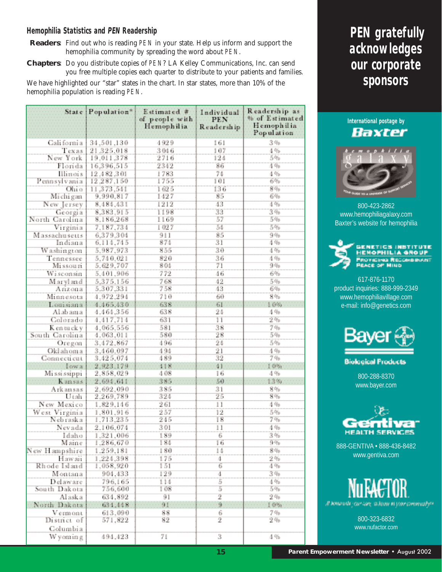#### **Hemophilia Statistics and PEN Readership**

**Readers**: Find out who is reading *PEN* in your state. Help us inform and support the hemophilia community by spreading the word about *PEN*.

**Chapters**: Do you distribute copies of *PEN*? LA Kelley Communications, Inc. can send you free multiple copies each quarter to distribute to your patients and families.

We have highlighted our "star" states in the chart. In star states, more than 10% of the hemophilia population is reading *PEN*.

| <b>State</b>   | Population* | Estimated #<br>of people with<br>Hemophilia | Individual<br>PEN<br>Readership | Readership as<br>% of Estimated<br>Hemophilia<br>Population |
|----------------|-------------|---------------------------------------------|---------------------------------|-------------------------------------------------------------|
| California     | 34,501,130  | 4929                                        | 161                             | 346                                                         |
| Texas          | 21,325,018  | 3046                                        | 107                             | 4%                                                          |
| New York       | 19,011,378  | 2716                                        | 124                             | 5%                                                          |
| Florida        | 16,396,515  | 2342                                        | 86                              | 4%                                                          |
| Illinois       | 12.482.301  | 1783                                        | 74                              | 4%                                                          |
| Pennsylvania   | 12,287,150  | 1755                                        | 101                             | 6%                                                          |
| Ohio           | 11,373,541  | 1625                                        | 136                             | 8%                                                          |
| Mi chi gan     | 9.990.817   | 1427                                        | 85                              | 6%                                                          |
| New Jersey     | 8.484.431   | 1212                                        | 43                              | 4%                                                          |
| Georgia        | 8,383,915   | 1198                                        | 33                              | 3%                                                          |
| North Carolina | 8.186,268   | 1169                                        | 57                              | 5%                                                          |
| Virginia       | 7,187,734   | 1 02 7                                      | 34                              | 5%                                                          |
| Massachusetts  | 6,379,304   | 911                                         | 85                              | 9%                                                          |
| Indiana        | 6.114.745   | 874                                         | 31                              | 4%                                                          |
| Washington     | 5,987,973   | 855                                         | 30                              | 4%                                                          |
| Tennessee      | 5,740.021   | 820                                         | 36                              | 4 %                                                         |
| Missouri       | 5.629,707   | 804                                         | 71                              | 9%                                                          |
| Wisconsin      | 5,401,906   | 772                                         | 46                              | 6%                                                          |
| Maryland       | 5,375,156   | 768                                         | 42                              | 546                                                         |
| Añzona         | 5.307,331   | 758                                         | 43                              | 6%                                                          |
| Minnesota      | 4,972,294   | 710                                         | 60                              | 8%                                                          |
| Louisiana      | 4.465.430   | 638                                         | 61                              | 1.0%                                                        |
| Alabama        | 4.464,356   | 638                                         | $^{24}$                         | 4 %                                                         |
| Colorado       | 4.417,714   | 631                                         | ΪÏ                              | 2%                                                          |
| K en ta ck y   | 4,065,556   | 581                                         | 38                              | 746                                                         |
| South Carolina | 4.063, 011  | 580                                         | 28                              | 5%                                                          |
| Oregon         | 3.472.867   | 496                                         | $^{24}$                         | 5%                                                          |
| Okłahoma       | 3,460.097   | 494                                         | $_{21}$                         | 4 %                                                         |
| Connecti cu t  | 3.425,074   | 489                                         | 32                              | 746                                                         |
| Iowa           | 2,923,179   | 118                                         | 41                              | 10%                                                         |
| Mississippi    | 2,858,029   | 408                                         | 16                              | 4%                                                          |
| Kansas:        | 2.694.641   | 385                                         | 50                              | 13%                                                         |
| Ark ansas      | 2,692,090   | 385                                         | 31                              | 8%                                                          |
| Utah           | 2,269,789   | 324                                         | 25                              | $8\%$                                                       |
| New Mexico     | 1.829.146   | 261                                         | 11                              | 4 %                                                         |
| West Virginia  | 1,801,916   | 257                                         | 12                              | 5%                                                          |
| Nebraska       | 1,713,235   | 245                                         | 18                              | 7%                                                          |
| Nevada         | 2.106.074   | 301                                         | Π                               | 4%                                                          |
| Idaho          | 1.321.006   | 189                                         | 6                               | 3%                                                          |
| Maine          | 1,286,670   | 184                                         | Ï6                              | 9%                                                          |
| New Hampshire  | 1.259,181   | 180                                         | 14                              | 8%                                                          |
| Haw sii        | 1.224.398   | 175                                         | 4                               | 2%                                                          |
| Rhode Island   | 1,058,920   | 151                                         | 6                               | 4%                                                          |
| Montana        | 904,433     | 129                                         | $\overline{4}$                  | 3%                                                          |
| Delaware       | 796,165     | 114                                         | $\overline{5}$                  | 4 %                                                         |
| South Dakota   | 756,600     | 108                                         | 3                               | 20%                                                         |
| Alaska         | 634,892     | 91                                          | 2                               | 2%                                                          |
| North Dakota   | 634.448     | 91                                          | Ÿ                               | 10%                                                         |
| Vermont        | 613.090     | 88                                          | 6                               | 7%                                                          |
| District of    | 571,822     | 82                                          | 2                               | 2%                                                          |
| Columbia       |             |                                             |                                 |                                                             |
| Wyoming        | 494,423     | 71                                          | 3                               | 4%                                                          |

## **PEN gratefully acknowledges our corporate sponsors**

#### **International postage by**  Baxter



800-423-2862 www.hemophiliagalaxy.com Baxter's website for hemophilia



617-876-1170 product inquiries: 888-999-2349 www.hemophiliavillage.com e-mail: info@genetics.com



**Biological Products** 

800-288-8370 www.bayer.com



888-GENTIVA • 888-436-8482 www.gentiva.com



Il home will your care, at home in your commenty of

800-323-6832 www.nufactor.com